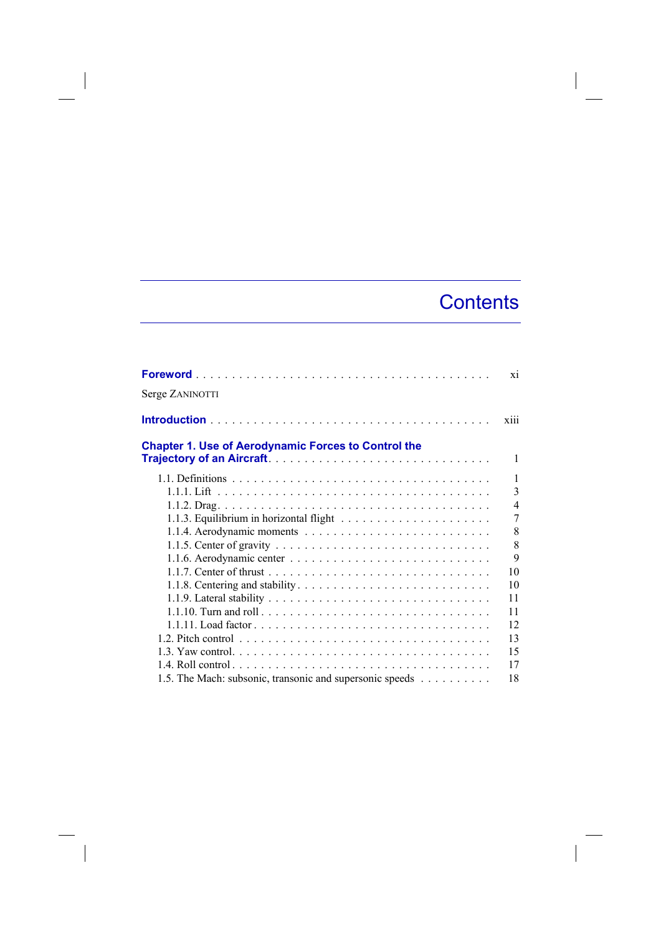## **Contents**

|                                                            | X1             |
|------------------------------------------------------------|----------------|
| Serge ZANINOTTI                                            |                |
|                                                            | xiii           |
| <b>Chapter 1. Use of Aerodynamic Forces to Control the</b> |                |
|                                                            | 1              |
|                                                            | 1              |
|                                                            | 3              |
|                                                            | $\overline{4}$ |
|                                                            | 7              |
|                                                            | 8              |
|                                                            | 8              |
|                                                            | 9              |
|                                                            | 10             |
|                                                            | 10             |
|                                                            | 11             |
|                                                            | 11             |
|                                                            | 12             |
|                                                            | 13             |
|                                                            | 15             |
|                                                            | 17             |
| 1.5. The Mach: subsonic, transonic and supersonic speeds   | 18             |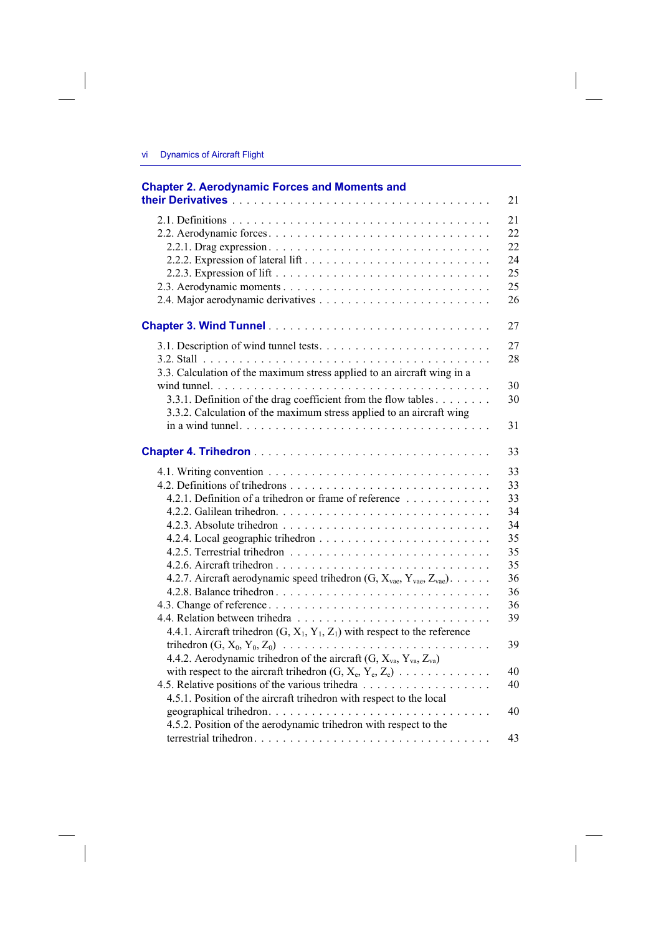| <b>Chapter 2. Aerodynamic Forces and Moments and</b>                                                                                                                                                                                                                                                                                                                                                                                                              | 21                                                                                           |
|-------------------------------------------------------------------------------------------------------------------------------------------------------------------------------------------------------------------------------------------------------------------------------------------------------------------------------------------------------------------------------------------------------------------------------------------------------------------|----------------------------------------------------------------------------------------------|
|                                                                                                                                                                                                                                                                                                                                                                                                                                                                   | 21<br>22<br>22<br>24<br>25<br>25<br>26                                                       |
|                                                                                                                                                                                                                                                                                                                                                                                                                                                                   | 27                                                                                           |
| 3.3. Calculation of the maximum stress applied to an aircraft wing in a                                                                                                                                                                                                                                                                                                                                                                                           | 27<br>28                                                                                     |
| 3.3.1. Definition of the drag coefficient from the flow tables<br>3.3.2. Calculation of the maximum stress applied to an aircraft wing                                                                                                                                                                                                                                                                                                                            | 30<br>30<br>31                                                                               |
|                                                                                                                                                                                                                                                                                                                                                                                                                                                                   | 33                                                                                           |
| 4.2.1. Definition of a trihedron or frame of reference<br>4.2.7. Aircraft aerodynamic speed trihedron $(G, X_{\text{vac}}, Y_{\text{vac}}, Z_{\text{vac}})$ .<br>4.4.1. Aircraft trihedron $(G, X_1, Y_1, Z_1)$ with respect to the reference<br>4.4.2. Aerodynamic trihedron of the aircraft $(G, X_{va}, Y_{va}, Z_{va})$<br>with respect to the aircraft trihedron $(G, X_e, Y_e, Z_e)$<br>4.5.1. Position of the aircraft trihedron with respect to the local | 33<br>33<br>33<br>34<br>34<br>35<br>35<br>35<br>36<br>36<br>36<br>39<br>39<br>40<br>40<br>40 |
| 4.5.2. Position of the aerodynamic trihedron with respect to the                                                                                                                                                                                                                                                                                                                                                                                                  | 43                                                                                           |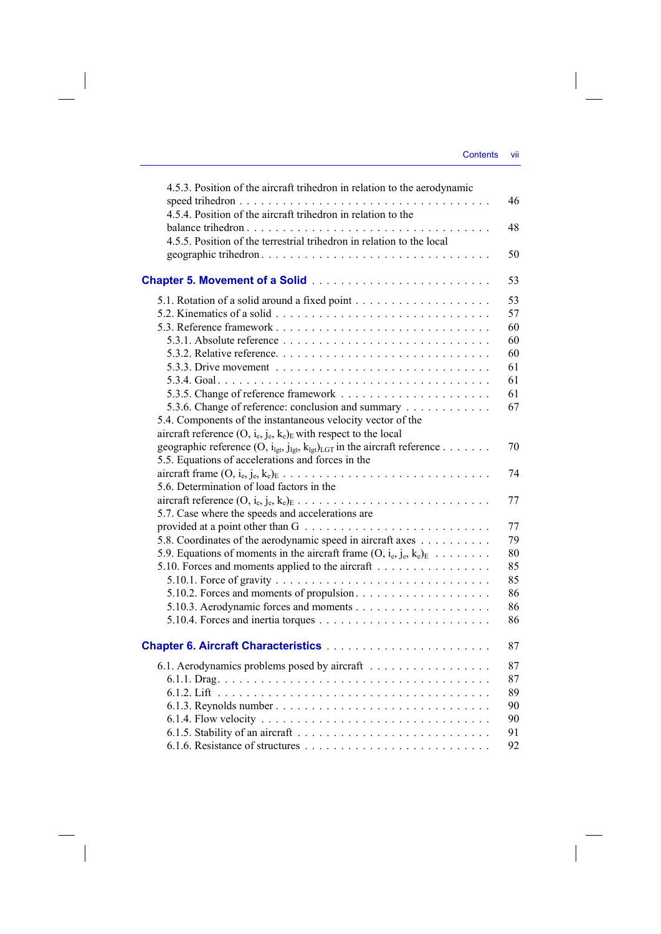| 4.5.3. Position of the aircraft trihedron in relation to the aerodynamic                                          | 46       |
|-------------------------------------------------------------------------------------------------------------------|----------|
| 4.5.4. Position of the aircraft trihedron in relation to the<br>balance trihedron                                 | 48       |
| 4.5.5. Position of the terrestrial trihedron in relation to the local                                             | 50       |
|                                                                                                                   | 53       |
|                                                                                                                   |          |
|                                                                                                                   | 53       |
|                                                                                                                   | 57<br>60 |
|                                                                                                                   | 60       |
|                                                                                                                   | 60       |
|                                                                                                                   | 61       |
|                                                                                                                   | 61       |
|                                                                                                                   | 61       |
| 5.3.6. Change of reference: conclusion and summary                                                                | 67       |
| 5.4. Components of the instantaneous velocity vector of the                                                       |          |
| aircraft reference $(O, i_e, j_e, k_e)_E$ with respect to the local                                               |          |
| geographic reference $(O, i_{\text{lst}}, j_{\text{lst}}, k_{\text{lst}})_{\text{LGT}}$ in the aircraft reference | 70       |
| 5.5. Equations of accelerations and forces in the                                                                 |          |
|                                                                                                                   | 74       |
| 5.6. Determination of load factors in the                                                                         |          |
|                                                                                                                   | 77       |
| 5.7. Case where the speeds and accelerations are                                                                  |          |
|                                                                                                                   | 77       |
| 5.8. Coordinates of the aerodynamic speed in aircraft axes                                                        | 79       |
| 5.9. Equations of moments in the aircraft frame $(0, i_e, j_e, k_e)_E$                                            | 80       |
| 5.10. Forces and moments applied to the aircraft                                                                  | 85       |
|                                                                                                                   | 85       |
|                                                                                                                   | 86       |
|                                                                                                                   | 86       |
|                                                                                                                   | 86       |
|                                                                                                                   | 87       |
| 6.1. Aerodynamics problems posed by aircraft                                                                      | 87       |
|                                                                                                                   | 87       |
|                                                                                                                   | 89       |
| 6.1.3. Reynolds number                                                                                            | 90       |
|                                                                                                                   | 90       |
|                                                                                                                   | 91       |
|                                                                                                                   | 92       |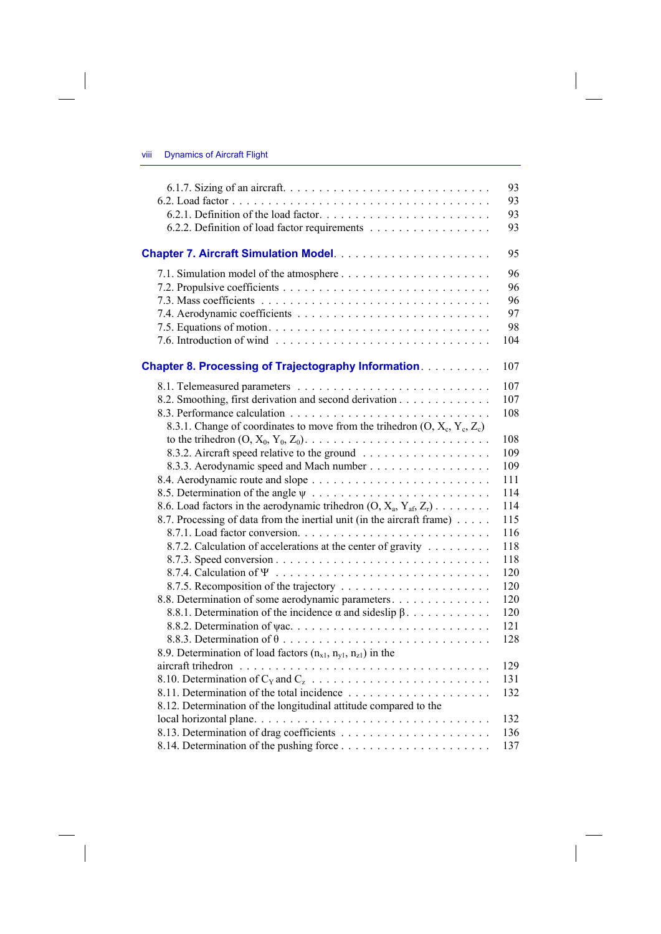$\begin{array}{c} \hline \end{array}$ 

|                                                                              | 93  |
|------------------------------------------------------------------------------|-----|
|                                                                              | 93  |
|                                                                              | 93  |
| 6.2.2. Definition of load factor requirements                                | 93  |
|                                                                              | 95  |
|                                                                              | 96  |
|                                                                              | 96  |
|                                                                              | 96  |
|                                                                              | 97  |
|                                                                              | 98  |
|                                                                              | 104 |
| <b>Chapter 8. Processing of Trajectography Information.</b>                  | 107 |
|                                                                              | 107 |
| 8.2. Smoothing, first derivation and second derivation                       | 107 |
|                                                                              | 108 |
| 8.3.1. Change of coordinates to move from the trihedron $(O, X_c, Y_c, Z_c)$ |     |
|                                                                              | 108 |
|                                                                              | 109 |
| 8.3.3. Aerodynamic speed and Mach number                                     | 109 |
|                                                                              | 111 |
|                                                                              | 114 |
| 8.6. Load factors in the aerodynamic trihedron $(O, X_a, Y_{af}, Z_r)$       | 114 |
| 8.7. Processing of data from the inertial unit (in the aircraft frame)       | 115 |
|                                                                              | 116 |
| 8.7.2. Calculation of accelerations at the center of gravity                 | 118 |
|                                                                              | 118 |
|                                                                              | 120 |
|                                                                              | 120 |
| 8.8. Determination of some aerodynamic parameters.                           | 120 |
| 8.8.1. Determination of the incidence $\alpha$ and sideslip $\beta$          | 120 |
|                                                                              | 121 |
|                                                                              | 128 |
| 8.9. Determination of load factors $(n_{x1}, n_{y1}, n_{z1})$ in the         |     |
|                                                                              | 129 |
|                                                                              | 131 |
|                                                                              | 132 |
| 8.12. Determination of the longitudinal attitude compared to the             |     |
|                                                                              | 132 |
|                                                                              | 136 |
|                                                                              | 137 |